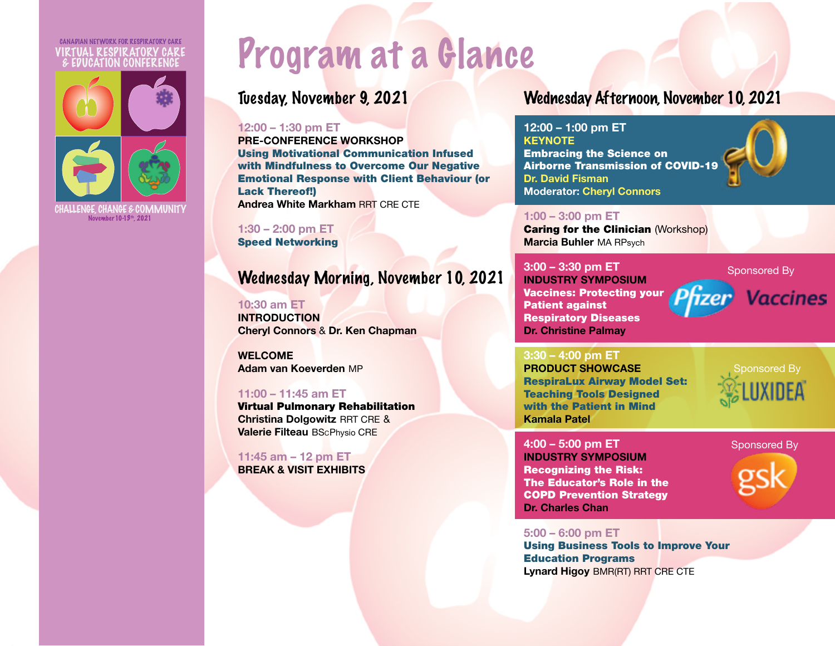### VIRTUAL RESPIRATORY CARE  $&$  EDUCATION CONFERE



# CANADIAN NETWORK FOR RESPIRATORY CARE **Program at a Glance**

## Tuesday, November 9, 2021

#### **12:00 – 1:30 pm ET**

**PRE-CONFERENCE WORKSHOP** Using Motivational Communication Infused with Mindfulness to Overcome Our Negative Emotional Response with Client Behaviour (or Lack Thereof!) **Andrea White Markham** RRT CRE CTE

**1:30 – 2:00 pm ET** Speed Networking

# Wednesday Morning, November 10, 2021

### **10:30 am ET**

**INTRODUCTION Cheryl Connors** & **Dr. Ken Chapman**

**WELCOME Adam van Koeverden** MP

### **11:00 – 11:45 am ET**

Virtual Pulmonary Rehabilitation **Christina Dolgowitz** RRT CRE & **Valerie Filteau** BScPhysio CRE

### **11:45 am – 12 pm ET BREAK & VISIT EXHIBITS**

# Wednesday Afternoon, November 10, 2021

**12:00 – 1:00 pm ET KEYNOTE** Embracing the Science on **Airborne Transmission of COVID-1 Dr. David Fisman Moderator: Cheryl Connors**

### **1:00 – 3:00 pm ET**

**Caring for the Clinician (Workshop) Marcia Buhler** MA RPsych

**3:00 – 3:30 pm ET INDUSTRY SYMPOSIUM** Vaccines: Protecting your Patient against Respiratory Diseases **Dr. Christine Palmay**

Sponsored By

**Vaccines** 

### **3:30 – 4:00 pm ET**

**PRODUCT SHOWCASE** RespiraLux Airway Model Set: Teaching Tools Designed with the Patient in Mind **Kamala Patel**



#### **4:00 – 5:00 pm ET INDUSTRY SYMPOSIUM** Recognizing the Risk: The Educator's Role in the COPD Prevention Strategy **Dr. Charles Chan**

#### **5:00 – 6:00 pm ET**

Using Business Tools to Improve Your Education Programs **Lynard Higoy** BMR(RT) RRT CRE CTE

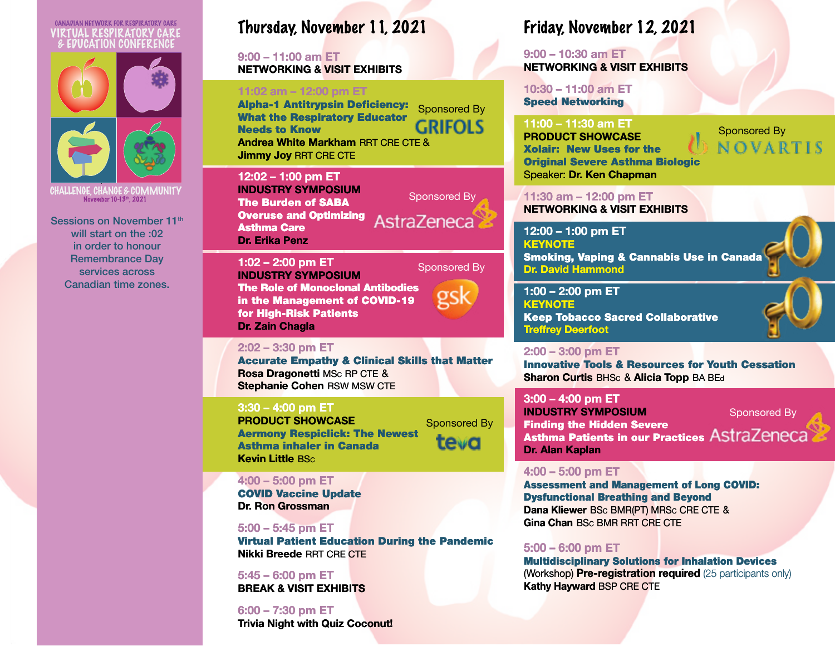#### VIRTUAL RESPIRATORY CARE & EDUCATION CONFERENCE CANADIAN NETWORK FOR RESPIRATORY CARE



Sessions on November 11<sup>th</sup> will start on the :02 in order to honour Remembrance Day services across Canadian time zones.

# Thursday, November 11, 2021

**9:00 – 11:00 am ET NETWORKING & VISIT EXHIBITS**

**11:02 am – 12:00 pm ET** Alpha-1 Antitrypsin Deficiency: What the Respiratory Educator Needs to Know **Andrea White Markham** RRT CRE CTE & **Jimmy Joy** RRT CRE CTE Extert Sponsored By<br>
Sponsored By<br>
Sponsored By<br>
Sponsored By<br>
Sponsored By<br>
Sponsored By<br> **Sponsored By**<br> **Sponsored By**<br> **Sponsored By**<br> **RID-19**<br> **SSK** 

CHALLENGE, CHANGE & COMMUNITY **The Burden of SABA CHALLENGE, CHANGE & COMMUNITY**<br>November 10-13<sup>th</sup>, 2021 **12:02 – 1:00 pm ET INDUSTRY SYMPOSIUM** The Burden of SABA Overuse and Optimizing Asthma Care **Dr. Erika Penz**

> **1:02 – 2:00 pm ET INDUSTRY SYMPOSIUM** The Role of Monoclonal Antibodies in the Management of COVID-19 for High-Risk Patients **Dr. Zain Chagla**



**2:02 – 3:30 pm ET**

Accurate Empathy & Clinical Skills that Matter **Rosa Dragonetti** MSc RP CTE & **Stephanie Cohen** RSW MSW CTE

**3:30 – 4:00 pm ET**

**PRODUCT SHOWCASE** Aermony Respiclick: The Newest Asthma inhaler in Canada **Kevin Little** BSc

Sponsored By

teva

**4:00 – 5:00 pm ET**

COVID Vaccine Update **Dr. Ron Grossman**

### **5:00 – 5:45 pm ET**

Virtual Patient Education During the Pandemic **Nikki Breede** RRT CRE CTE

**5:45 – 6:00 pm ET BREAK & VISIT EXHIBITS**

**6:00 – 7:30 pm ET Trivia Night with Quiz Coconut!**

# Friday, November 12, 2021

**9:00 – 10:30 am ET NETWORKING & VISIT EXHIBITS**

**10:30 – 11:00 am ET** Speed Networking

**11:00 – 11:30 am ET PRODUCT SHOWCASE**  Xolair: New Uses for the Original Severe Asthma Biologic Speaker: **Dr. Ken Chapman**

Sponsored By **NOVARTIS** 

**11:30 am – 12:00 pm ET NETWORKING & VISIT EXHIBITS**

**12:00 – 1:00 pm ET KEYNOTE** Smoking, Vaping & Cannabis Use in Canada **Dr. David Hammond**

**1:00 – 2:00 pm ET KEYNOTE** Keep Tobacco Sacred Collaborative **Treffrey Deerfoot**

### **2:00 – 3:00 pm ET**

Innovative Tools & Resources for Youth Cessation **Sharon Curtis** BHSc & **Alicia Topp** BA BE<sup>d</sup>

Sponsored By **3:00 – 4:00 pm ET INDUSTRY SYMPOSIUM** Finding the Hidden Severe Asthma Patients in our Practices AStraZeneca **Dr. Alan Kaplan**

### **4:00 – 5:00 pm ET**

Assessment and Management of Long COVID: Dysfunctional Breathing and Beyond **Dana Kliewer** BSc BMR(PT) MRSc CRE CTE & **Gina Chan** BSc BMR RRT CRE CTE

### **5:00 – 6:00 pm ET**

Multidisciplinary Solutions for Inhalation Devices (Workshop) **Pre-registration required** (25 participants only) **Kathy Hayward** BSP CRE CTE